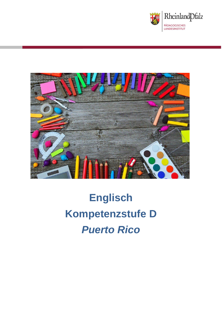



# **Englisch Kompetenzstufe D** *Puerto Rico*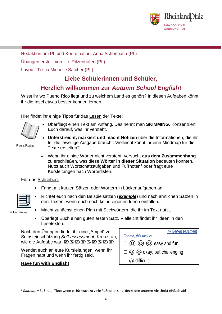

Redaktion am PL und Koordination: Anna Schönbach (PL)

Übungen erstellt von Ute Ritzenhofen (PL)

Layout: Tosca Michelle Satcher (PL)

## **Liebe Schülerinnen und Schüler,**

## **Herzlich willkommen zur** *Autumn School English***!**

Wisst ihr wo Puerto Rico liegt und zu welchem Land es gehört? In diesen Aufgaben könnt ihr die Insel etwas besser kennen lernen.

Hier findet ihr einige Tipps für das Lesen der Texte:



• Überfliegt einen Text am Anfang. Das nennt man **SKIMMING**. Konzentriert Euch darauf, was ihr versteht.

Picture: Pixabay

- **Unterstreicht, markiert und macht Notizen** über die Informationen, die ihr für die jeweilige Aufgabe braucht. Vielleicht könnt ihr eine Mindmap für die Texte erstellen?
- Wenn ihr einige Wörter nicht versteht, versucht **aus dem Zusammenhang** zu erschließen, was diese **Wörter in dieser Situation** bedeuten könnten. Nutzt auch Wortschatzaufgaben und Fußnoten<sup>1</sup> oder fragt eure Kursleitungen nach Wörterlisten.

Für das Schreiben:

• Fangt mit kurzen Sätzen oder Wörtern in Lückenaufgaben an.



• Richtet euch nach den Beispielsätzen (*example*) und nach ähnlichen Sätzen in den Texten, wenn euch noch keine eigenen Ideen einfallen.

Picture: Pixabay

**.** 

- Macht zunächst einen Plan mit Stichwörtern, die ihr im Text nutzt.
- Überlegt Euch einen guten ersten Satz. Vielleicht findet ihr Ideen in den Lesetexten.

Nach den Übungen findet ihr eine "Ampel" zur Selbsteinschätzung *Self-assessment*. Kreuzt an, wie die Aufgabe war. E E E E E E E E E E E

Wendet euch an eure Kursleitungen, wenn ihr Fragen habt und wenn ihr fertig seid.

#### **Have fun with English!**

| Self-assessment                                        |
|--------------------------------------------------------|
| For me, this task is                                   |
| $\square$ $\odot$ $\odot$ $\odot$ $\odot$ easy and fun |
| $\square$ $\odot$ $\odot$ okay, but challenging        |
| $\square \otimes$ difficult                            |
|                                                        |

<sup>1</sup> *footnote* = Fußnote. Tipp: wenn es für euch zu viele Fußnoten sind, deckt den unteren Abschnitt einfach ab!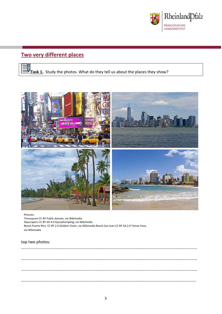

## **Two very different places**





#### Pictures:

Timesquare CC BY Public domain, via Wikimedia Skyscrapers CC BY-SA 4.0 GyozaDumpling, via Wikimedia Beach Puerto Rico CC BY 2.0 Güldem Üstün, via Wikimedia Beach San Juan CC BY-SA 2.0 Tomas Fano, via Wikimedia

#### top two photos: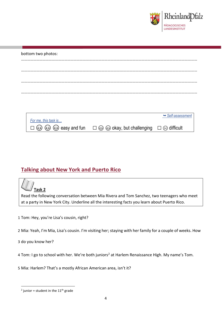

#### bottom two photos:

|                      |                                                                                                                                    | $ightharpoonup$ Self-assessment |
|----------------------|------------------------------------------------------------------------------------------------------------------------------------|---------------------------------|
| For me, this task is |                                                                                                                                    |                                 |
|                      | $\square$ $\odot$ $\odot$ $\odot$ $\odot$ easy and fun $\square$ $\odot$ $\odot$ okay, but challenging $\square$ $\odot$ difficult |                                 |

### **Talking about New York and Puerto Rico**



Read the following conversation between Mia Rivera and Tom Sanchez, two teenagers who meet at a party in New York City. Underline all the interesting facts you learn about Puerto Rico.

- 1 Tom: Hey, you're Lisa's cousin, right?
- 2 Mia: Yeah, I'm Mia, Lisa's cousin. I'm visiting her; staying with her family for a couple of weeks. How

3 do you know her?

- 4 Tom: I go to school with her. We're both juniors<sup>2</sup> at Harlem Renaissance High. My name's Tom.
- 5 Mia: Harlem? That's a mostly African American area, isn't it?

**<sup>.</sup>**  $2$  junior = student in the 11<sup>th</sup> grade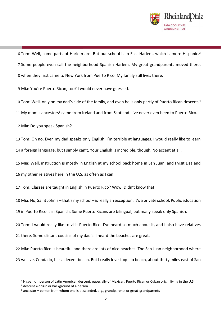

6 Tom: Well, some parts of Harlem are. But our school is in East Harlem, which is more Hispanic.<sup>3</sup> Some people even call the neighborhood Spanish Harlem. My great-grandparents moved there, when they first came to New York from Puerto Rico. My family still lives there.

Mia: You're Puerto Rican, too? I would never have guessed.

10 Tom: Well, only on my dad's side of the family, and even he is only partly of Puerto Rican descent.<sup>4</sup>

11 My mom's ancestors<sup>5</sup> came from Ireland and from Scotland. I've never even been to Puerto Rico.

Mia: Do you speak Spanish?

 Tom: Oh no. Even my dad speaks only English. I'm terrible at languages. I would really like to learn a foreign language, but I simply can't. Your English is incredible, though. No accent at all.

 Mia: Well, instruction is mostly in English at my school back home in San Juan, and I visit Lisa and my other relatives here in the U.S. as often as I can.

Tom: Classes are taught in English in Puerto Rico? Wow. Didn't know that.

 Mia: No, Saint John's – that's my school – is really an exception. It's a private school. Public education in Puerto Rico is in Spanish. Some Puerto Ricans are bilingual, but many speak only Spanish.

 Tom: I would really like to visit Puerto Rico. I've heard so much about it, and I also have relatives there. Some distant cousins of my dad's. I heard the beaches are great.

 Mia: Puerto Rico is beautiful and there are lots of nice beaches. The San Juan neighborhood where we live, Condado, has a decent beach. But I really love Luquillo beach, about thirty miles east of San

**.** 

Hispanic = person of Latin American descent, especially of Mexican, Puerto Rican or Cuban origin living in the U.S.

descent = origin or background of a person

ancestor = person from whom one is descended, e.g., grandparents or great-grandparents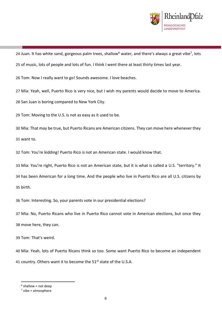

24 Juan. It has white sand, gorgeous palm trees, shallow<sup>6</sup> water, and there's always a great vibe<sup>7</sup>, lots

of music, lots of people and lots of fun. I think I went there at least thirty times last year.

Tom: Now I really want to go! Sounds awesome. I love beaches.

Mia: Yeah, well, Puerto Rico is very nice, but I wish my parents would decide to move to America.

San Juan is boring compared to New York City.

Tom: Moving to the U.S. is not as easy as it used to be.

 Mia: That may be true, but Puerto Ricans are American citizens. They can move here whenever they want to.

Tom: You're kidding! Puerto Rico is not an American state. I would know that.

 Mia: You're right, Puerto Rico is not an American state, but it is what is called a U.S. "territory." It has been American for a long time. And the people who live in Puerto Rico are all U.S. citizens by birth.

Tom: Interesting. So, your parents vote in our presidential elections?

 Mia: No, Puerto Ricans who live in Puerto Rico cannot vote in American elections, but once they move here, they can.

Tom: That's weird.

 Mia: Yeah, lots of Puerto Ricans think so too. Some want Puerto Rico to become an independent 41 country. Others want it to become the 51<sup>st</sup> state of the U.S.A.

shallow = not deep

 $<sup>7</sup>$  vibe = atmosphere</sup>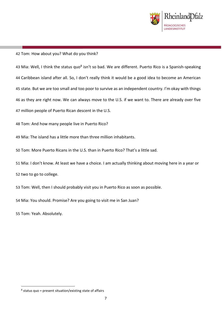

#### Tom: How about you? What do you think?

43 Mia: Well, I think the status quo<sup>8</sup> isn't so bad. We are different. Puerto Rico is a Spanish-speaking Caribbean island after all. So, I don't really think it would be a good idea to become an American state. But we are too small and too poor to survive as an independent country. I'm okay with things as they are right now. We can always move to the U.S. if we want to. There are already over five million people of Puerto Rican descent in the U.S.

Tom: And how many people live in Puerto Rico?

Mia: The island has a little more than three million inhabitants.

Tom: More Puerto Ricans in the U.S. than in Puerto Rico? That's a little sad.

 Mia: I don't know. At least we have a choice. I am actually thinking about moving here in a year or two to go to college.

Tom: Well, then I should probably visit you in Puerto Rico as soon as possible.

Mia: You should. Promise? Are you going to visit me in San Juan?

Tom: Yeah. Absolutely.

**.** 

status quo = present situation/existing state of affairs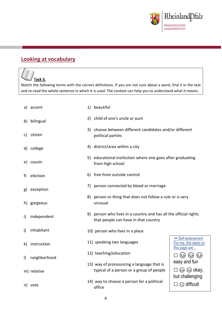

## **Looking at vocabulary**

## **Task 3.**

Match the following terms with the correct definitions. If you are not sure about a word, find it in the text and re-read the whole sentence in which it is used. The context can help you to understand what it means.

|              | a) accent    | 1) beautiful                                                                                             |                                                                    |  |
|--------------|--------------|----------------------------------------------------------------------------------------------------------|--------------------------------------------------------------------|--|
|              | b) bilingual | 2) child of one's uncle or aunt                                                                          |                                                                    |  |
|              | c) citizen   | 3) choose between different candidates and/or different<br>political parties                             |                                                                    |  |
|              | d) college   | 4) district/area within a city                                                                           |                                                                    |  |
|              | e) cousin    | 5) educational institution where one goes after graduating<br>from high school                           |                                                                    |  |
| f)           | election     | 6) free from outside control                                                                             |                                                                    |  |
| g)           | exception    | 7) person connected by blood or marriage                                                                 |                                                                    |  |
|              | h) gorgeous  | 8) person or thing that does not follow a rule or is very<br>unusual                                     |                                                                    |  |
| i)           | independent  | 9) person who lives in a country and has all the official rights<br>that people can have in that country |                                                                    |  |
| $\mathsf{j}$ | inhabitant   | 10) person who lives in a place                                                                          |                                                                    |  |
| k)           | instruction  | 11) speaking two languages                                                                               | Self-assessment<br>For me, this tasks on<br>this page are          |  |
| $\vert$      | neighborhood | 12) teaching/education                                                                                   | (ೞ) (ೞ)<br>(ಎ)                                                     |  |
|              | m) relative  | 13) way of pronouncing a language that is<br>typical of a person or a group of people                    | easy and fun<br>$\square$ $\odot$ $\odot$ okay,<br>but challenging |  |
|              | n) vote      | 14) way to choose a person for a political<br>office                                                     | $\odot$ difficult                                                  |  |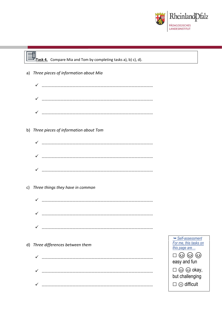

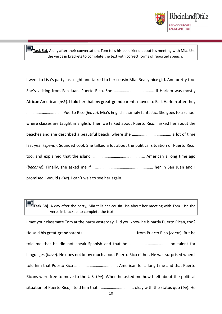

**Task 5a).** A day after their conversation, Tom tells his best friend about his meeting with Mia. Use the verbs in brackets to complete the text with correct forms of reported speech.

I went to Lisa's party last night and talked to her cousin Mia. Really nice girl. And pretty too. She's visiting from San Juan, Puerto Rico. She ……………….……………….. if Harlem was mostly African American (*ask*). I told her that my great-grandparents moved to East Harlem after they ……………..……………… Puerto Rico (*leave*). Mia's English is simply fantastic. She goes to a school where classes are taught in English. Then we talked about Puerto Rico. I asked her about the beaches and she described a beautiful beach, where she ……………………………….. a lot of time last year (*spend*). Sounded cool. She talked a lot about the political situation of Puerto Rico, too, and explained that the island …………………………………………… American a long time ago (*become*). Finally, she asked me if I ………………………………………..……… her in San Juan and I promised I would (*visit*). I can't wait to see her again.

**Task 5b).** A day after the party, Mia tells her cousin Lisa about her meeting with Tom. Use the verbs in brackets to complete the text.

I met your classmate Tom at the party yesterday. Did you know he is partly Puerto Rican, too? He said his great-grandparents …………………………………………… from Puerto Rico (*come*). But he told me that he did not speak Spanish and that he ……………….………………. no talent for languages (*have*). He does not know much about Puerto Rico either. He was surprised when I told him that Puerto Rico ……………………….………….. American for a long time and that Puerto Ricans were free to move to the U.S. (*be*). When he asked me how I felt about the political situation of Puerto Rico, I told him that I ………………………….. okay with the status quo (*be*). He